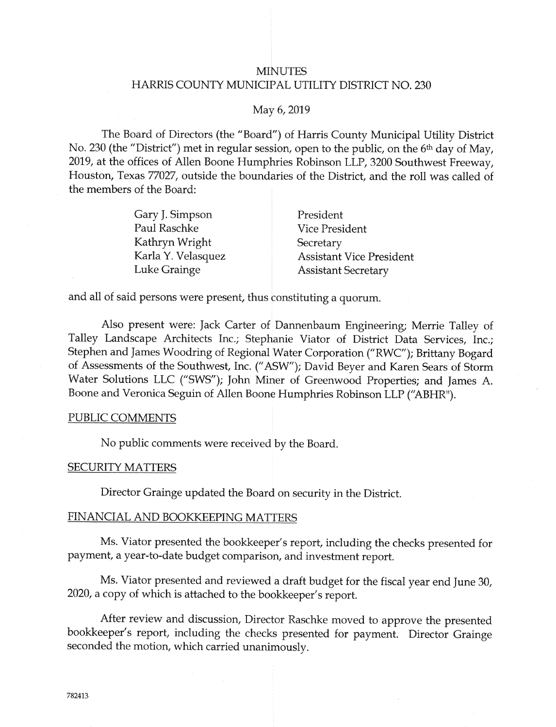# **MINUTES** HARRIS COUNTY MUNICIPAL UTILITY DISTRICT NO. 230

#### May 6, 2019

The Board of Directors (the "Board") of Harris County Municipal Utility District No. 230 (the "District") met in regular session, open to the public, on the 6<sup>th</sup> day of May, 2019, at the offices of Allen Boone Humphries Robinson LLP, 3200 Southwest Freeway, Houston, Texas 77027, outside the boundaries of the District, and the roll was called of the members of the Board:

| Gary J. Simpson    | President                       |
|--------------------|---------------------------------|
| Paul Raschke       | <b>Vice President</b>           |
| Kathryn Wright     | Secretary                       |
| Karla Y. Velasquez | <b>Assistant Vice President</b> |
| Luke Grainge       | <b>Assistant Secretary</b>      |

and all of said persons were present, thus constituting a quorum.

Also present were: Jack Carter of Dannenbaum Engineering; Merrie Talley of Talley Landscape Architects Inc.; Stephanie Viator of District Data Serviees, Inc.; Stephen and James Woodring of Regional Water Corporation ("RWC"); Brittany Bogard o{ Assessments of the Southwest, Inc. ("ASW"); David Beyer and Karen Sears of Storm Water Solutions LLC ("SWS"); John Miner of Greenwood Froperties; and James A. Boone and Veronica Seguin of Allen Boone Humphries Robinson LLP ("ABHR").

## PUBLIC COMMENTS

No public comments were received by the Board.

#### SECURITY MATTERS

Director Grainge updated the Board on security in the District.

#### FINANCIAL AND BOOKKEEPING MATTERS

Ms. Viator presented the bookkeeper's report, inciuding the checks presented {or payment, a year-to-date budget comparison, and investment report.

Ms. Viator presented and reviewed a draft budget for the fiscal year end June 30, 2020, a copy of which is attached to the bookkeeper's report.

After review and discussion, Director Raschke moved to approve the presented bookkeeper's report, including the checks presented for payment. Director Crainge seconded the motion, which carried unanimously.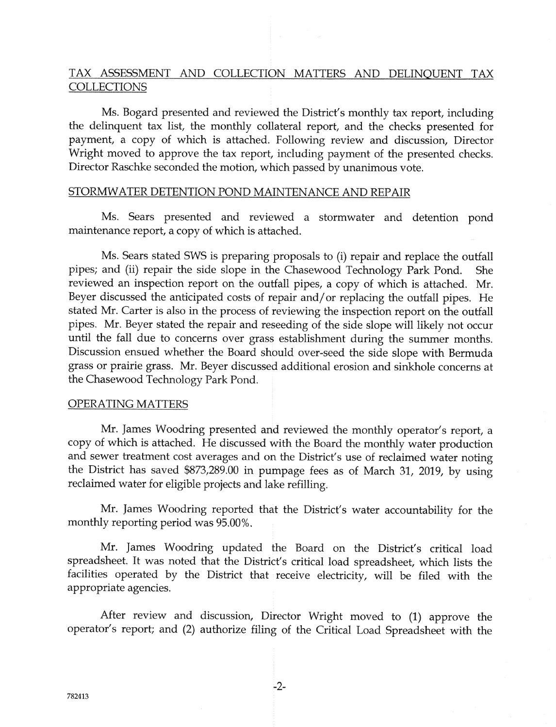# TAX ASSESSMENT AND COLLECTION MATTERS AND DELINQUENT TAX **COLLECTIONS**

Ms. Bogard presented and reviewed the District's monthly tax report, including the delinquent tax list, the monthly collateral report, and the checks presented for payment, a copy of which is attached. Following review and discussion, Director Wright moved to approve the tax report, including payment of the presented checks. Director Raschke seconded the motion, which passed by unanirnous vote.

## STORMWATER DETENTION POND MAINTENANCE AND REPAIR

Ms. Sears presented and reviewed a stormwater and detention pond maintenance report, a copy of which is attached.

Ms. Sears stated SWS is preparing proposals to (i) repair and replace the outfall pipes; and (ii) repair the side slope in the Chasewood Technology Park Pond. She reviewed an inspection report on the outfall pipes, a copy of which is attached. Mr. Beyer discussed the anticipated costs of repair and/or replacing the outfall pipes. He stated Mr. Carter is also in the process of reviewing the inspection report on the outfall pipes. Mr. Beyer stated the repair and reseeding of the side slope will likely not occur until the fall due to concerns over grass establishment during the summer months. Discussion ensued whether ihe Soard should over-seed the side slope with Bermuda grass or prairie grass. Mr. Beyer discussed additional erosion and sinkhole concerns at the Chasewood Technology Park Pond.

#### OPERATING MATTERS

Mr. James Woodring presented and reviewed the monthly operator's report, a copy of which is attached. He discussed with the Board the monthly water production and sewer treatment cost averages and on the District's use of reclaimed water noting the District has saved \$873,289.00 in pumpage fees as of March 31, 2019, by using reclaimed water for eligible projects and lake refilling.

Mr. James Woodring reported that the District's water accountability for the monthly reporting period was 95.00%.

Mr. James Woodring updated the Board on the District's critical load spreadsheet. It was noted that the District's critical load spreadsheet, which lists the facilities operated by the District that receive electricity, will be filed with the appropriate agencies.

After review and discussion, Director Wright moved to (1) approve the operator's report; and (2) authorize filing of the Critical Load Spreadsheet with the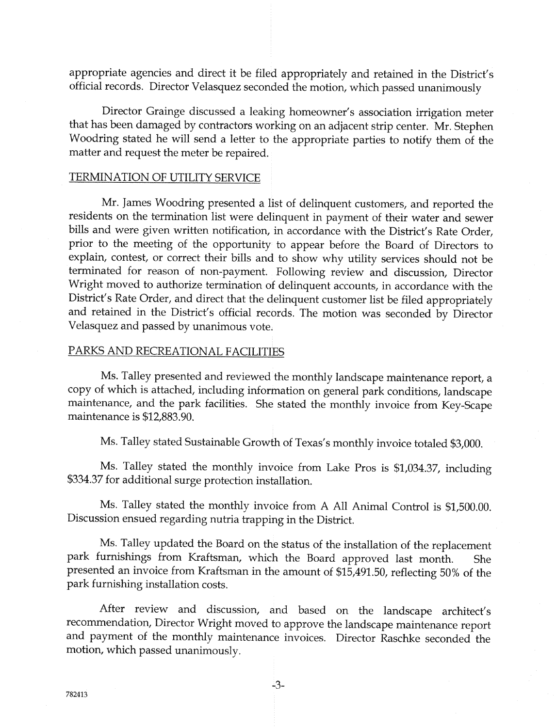appropriate agencies and direct it be filed appropriately and retained in the District's official records. Director Velasquez seconded the motion, which passed unanimously

Director Grainge discussed a leaking homeowner's association irrigation meter that has been damaged by contractors working on an adjacent strip center. Mr. Stephen Woodring stated he will send a letter to the appropriate parties to notify them o{ the matter and request the meter be repaired.

## TERMINATION OF UTILITY SERVICE

Mr. James Woodring presented a list of delinquent customers, and reported the residents on the termination list were delinquent in payment of their water and sewer bills and were given written notification, in accordance with the District's Rate Order, prior to the meeting of the opportunity to appear before the Board of Directors to explain, contest, or correct their bills and to show why utility services should not be terminated for reason of non-payment. Following review and discussion, Director Wright moved to authorize termination of delinquent accounts, in accordance with the District's Rate Order, and direct that the delinquent customer list be filed appropriately and retained in the District's official records. The motion was seconded by Director Velasquez and passed by unanimous vote.

#### PARKS AND RECREATIONAL FACILITIES

Ms. Talley presented and reviewed the monthly landscape maintenance report, a copy of which is attached, including information on general park conditions, landscape maintenance, and the park facilities. She stated the monthly invoice from Key-Scape maintenance is S12,883.90.

Ms. Talley stated Sustainable Growth of Texas's monthly invoice totaled \$3,000.

Ms. Talley stated the monthly invoice from Lake Pros is \$1,034.37, including \$334.37 for additional surge protection installation.

Ms. Talley stated the monthly invoice from A All Animal Control is \$1,500.00. Discussion ensued regarding nutria trapping in the District.

Ms. Talley updated the Board on the status of the installation of the replacement park furnishings from Kraftsman, which the Board approved last month. She presented an invoice from Kraftsman in the amount of \$15,491.50, reflecting 50% of the park furnishing installation costs.

After review and discussion, and based on the landscape architect's recommendation, Director Wright moved to approve the landscape maintenance report and payment of the monthly maintenance invoices. Director Raschke seconded the motion, which passed unanimously.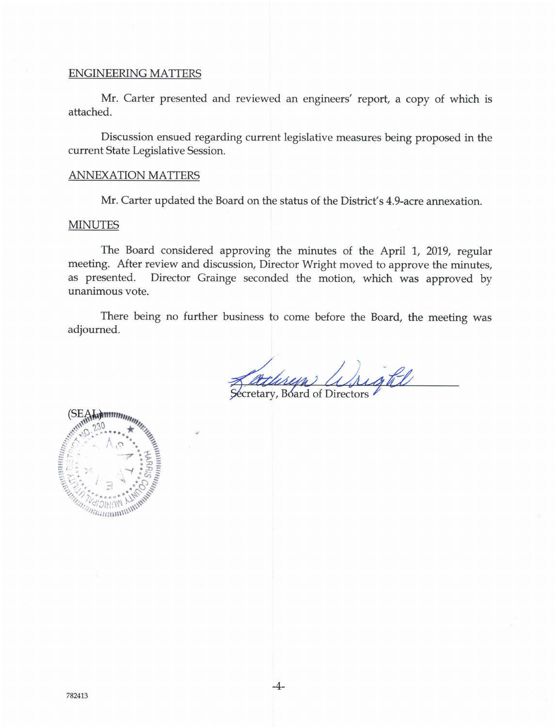#### ENGINEERING MATTERS

Mr. Carter presented and reviewed an engineers' report, a copy of which is attached.

Discussion ensued regarding current legislative measures being proposed in the current State Legislative Session.

#### ANNEXATION MATTERS

Mr. Carter updated the Board on the status of the District's 4.9-acre annexation.

### MINUTES

The Board considered approving the minutes of the April 1, 2019, regular meeting. After review and discussion, Director Wright moved to approve the minutes, as presented. Director Grainge seconded the motion, which was approved by unanimous vote.

There being no further business to come before the Board, the meeting was adjourned.

 $-4-$ 

adisyn Wright Secretary, Board of Directors